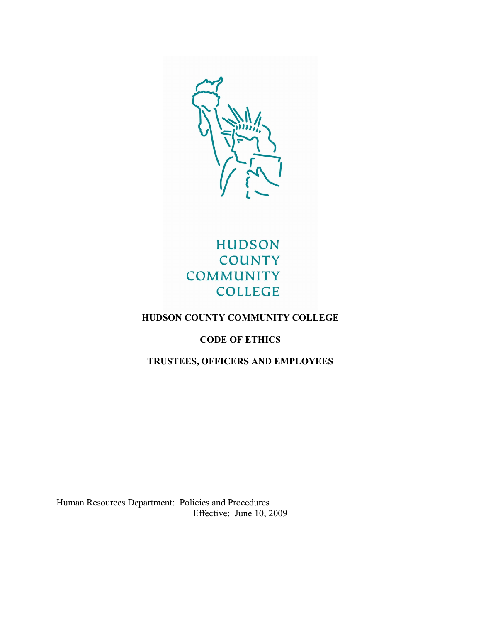

# **HUDSON COUNTY COMMUNITY COLLEGE**

# **HUDSON COUNTY COMMUNITY COLLEGE**

# **CODE OF ETHICS**

# **TRUSTEES, OFFICERS AND EMPLOYEES**

Human Resources Department: Policies and Procedures Effective: June 10, 2009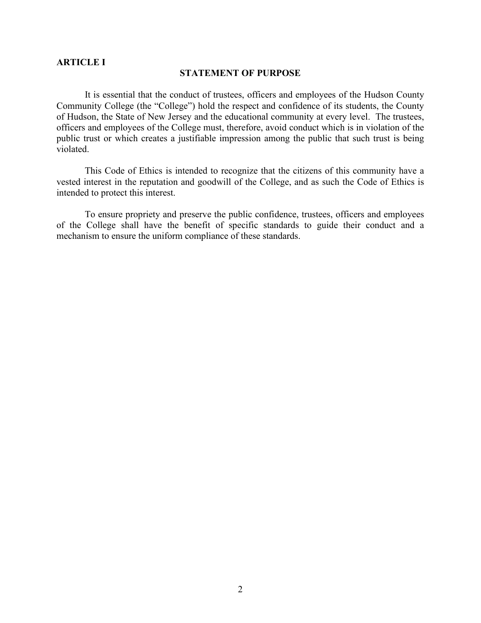#### **ARTICLE I**

#### **STATEMENT OF PURPOSE**

It is essential that the conduct of trustees, officers and employees of the Hudson County Community College (the "College") hold the respect and confidence of its students, the County of Hudson, the State of New Jersey and the educational community at every level. The trustees, officers and employees of the College must, therefore, avoid conduct which is in violation of the public trust or which creates a justifiable impression among the public that such trust is being violated.

This Code of Ethics is intended to recognize that the citizens of this community have a vested interest in the reputation and goodwill of the College, and as such the Code of Ethics is intended to protect this interest.

To ensure propriety and preserve the public confidence, trustees, officers and employees of the College shall have the benefit of specific standards to guide their conduct and a mechanism to ensure the uniform compliance of these standards.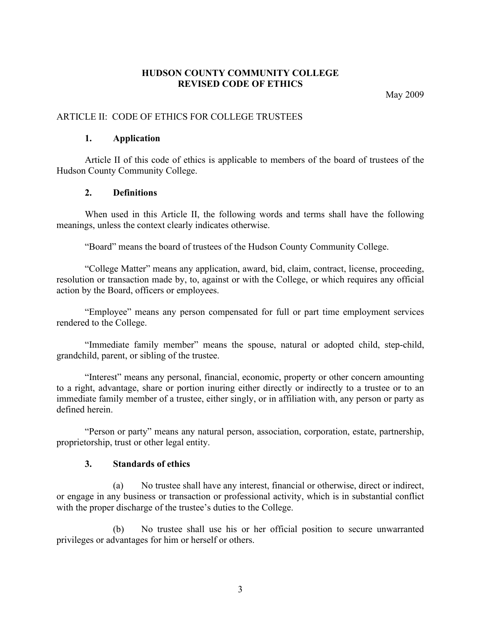## **HUDSON COUNTY COMMUNITY COLLEGE REVISED CODE OF ETHICS**

May 2009

## ARTICLE II: CODE OF ETHICS FOR COLLEGE TRUSTEES

#### **1. Application**

Article II of this code of ethics is applicable to members of the board of trustees of the Hudson County Community College.

#### **2. Definitions**

When used in this Article II, the following words and terms shall have the following meanings, unless the context clearly indicates otherwise.

"Board" means the board of trustees of the Hudson County Community College.

"College Matter" means any application, award, bid, claim, contract, license, proceeding, resolution or transaction made by, to, against or with the College, or which requires any official action by the Board, officers or employees.

"Employee" means any person compensated for full or part time employment services rendered to the College.

"Immediate family member" means the spouse, natural or adopted child, step-child, grandchild, parent, or sibling of the trustee.

"Interest" means any personal, financial, economic, property or other concern amounting to a right, advantage, share or portion inuring either directly or indirectly to a trustee or to an immediate family member of a trustee, either singly, or in affiliation with, any person or party as defined herein.

"Person or party" means any natural person, association, corporation, estate, partnership, proprietorship, trust or other legal entity.

#### **3. Standards of ethics**

(a) No trustee shall have any interest, financial or otherwise, direct or indirect, or engage in any business or transaction or professional activity, which is in substantial conflict with the proper discharge of the trustee's duties to the College.

No trustee shall use his or her official position to secure unwarranted privileges or advantages for him or herself or others.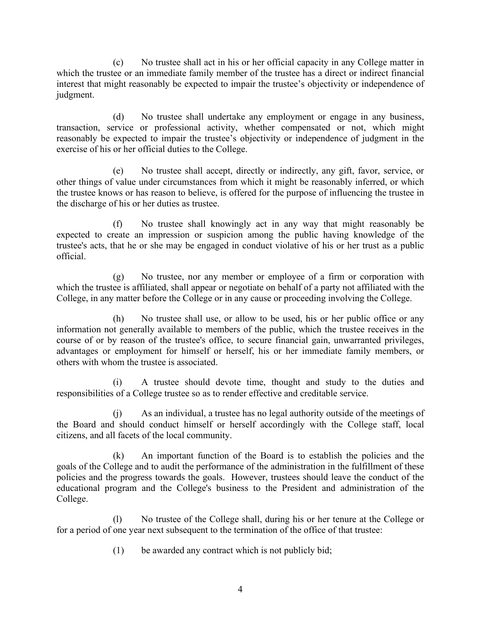(c) No trustee shall act in his or her official capacity in any College matter in which the trustee or an immediate family member of the trustee has a direct or indirect financial interest that might reasonably be expected to impair the trustee's objectivity or independence of judgment.

(d) No trustee shall undertake any employment or engage in any business, transaction, service or professional activity, whether compensated or not, which might reasonably be expected to impair the trustee's objectivity or independence of judgment in the exercise of his or her official duties to the College.

(e) No trustee shall accept, directly or indirectly, any gift, favor, service, or other things of value under circumstances from which it might be reasonably inferred, or which the trustee knows or has reason to believe, is offered for the purpose of influencing the trustee in the discharge of his or her duties as trustee.

(f) No trustee shall knowingly act in any way that might reasonably be expected to create an impression or suspicion among the public having knowledge of the trustee's acts, that he or she may be engaged in conduct violative of his or her trust as a public official.

(g) No trustee, nor any member or employee of a firm or corporation with which the trustee is affiliated, shall appear or negotiate on behalf of a party not affiliated with the College, in any matter before the College or in any cause or proceeding involving the College.

(h) No trustee shall use, or allow to be used, his or her public office or any information not generally available to members of the public, which the trustee receives in the course of or by reason of the trustee's office, to secure financial gain, unwarranted privileges, advantages or employment for himself or herself, his or her immediate family members, or others with whom the trustee is associated.

(i) A trustee should devote time, thought and study to the duties and responsibilities of a College trustee so as to render effective and creditable service.

(j) As an individual, a trustee has no legal authority outside of the meetings of the Board and should conduct himself or herself accordingly with the College staff, local citizens, and all facets of the local community.

(k) An important function of the Board is to establish the policies and the goals of the College and to audit the performance of the administration in the fulfillment of these policies and the progress towards the goals. However, trustees should leave the conduct of the educational program and the College's business to the President and administration of the College.

(l) No trustee of the College shall, during his or her tenure at the College or for a period of one year next subsequent to the termination of the office of that trustee:

(1) be awarded any contract which is not publicly bid;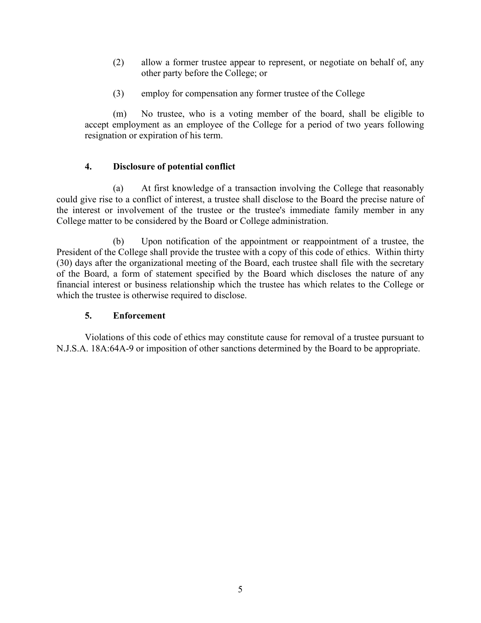- (2) allow a former trustee appear to represent, or negotiate on behalf of, any other party before the College; or
- (3) employ for compensation any former trustee of the College

(m) No trustee, who is a voting member of the board, shall be eligible to accept employment as an employee of the College for a period of two years following resignation or expiration of his term.

## **4. Disclosure of potential conflict**

(a) At first knowledge of a transaction involving the College that reasonably could give rise to a conflict of interest, a trustee shall disclose to the Board the precise nature of the interest or involvement of the trustee or the trustee's immediate family member in any College matter to be considered by the Board or College administration.

(b) Upon notification of the appointment or reappointment of a trustee, the President of the College shall provide the trustee with a copy of this code of ethics. Within thirty (30) days after the organizational meeting of the Board, each trustee shall file with the secretary of the Board, a form of statement specified by the Board which discloses the nature of any financial interest or business relationship which the trustee has which relates to the College or which the trustee is otherwise required to disclose.

## **5. Enforcement**

Violations of this code of ethics may constitute cause for removal of a trustee pursuant to N.J.S.A. 18A:64A-9 or imposition of other sanctions determined by the Board to be appropriate.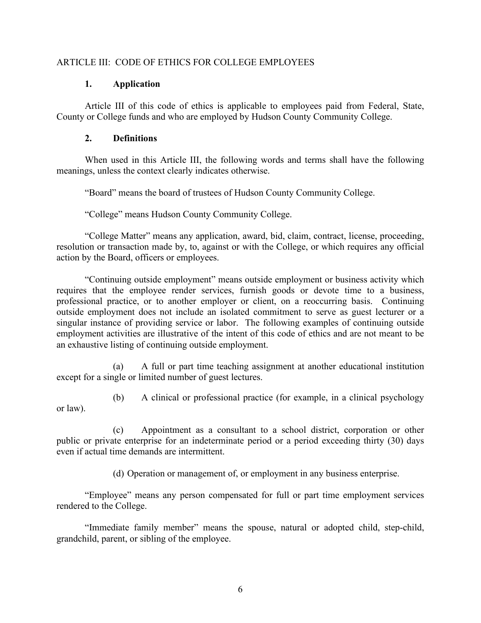### ARTICLE III: CODE OF ETHICS FOR COLLEGE EMPLOYEES

#### **1. Application**

Article III of this code of ethics is applicable to employees paid from Federal, State, County or College funds and who are employed by Hudson County Community College.

## **2. Definitions**

When used in this Article III, the following words and terms shall have the following meanings, unless the context clearly indicates otherwise.

"Board" means the board of trustees of Hudson County Community College.

"College" means Hudson County Community College.

"College Matter" means any application, award, bid, claim, contract, license, proceeding, resolution or transaction made by, to, against or with the College, or which requires any official action by the Board, officers or employees.

"Continuing outside employment" means outside employment or business activity which requires that the employee render services, furnish goods or devote time to a business, professional practice, or to another employer or client, on a reoccurring basis. Continuing outside employment does not include an isolated commitment to serve as guest lecturer or a singular instance of providing service or labor. The following examples of continuing outside employment activities are illustrative of the intent of this code of ethics and are not meant to be an exhaustive listing of continuing outside employment.

(a) A full or part time teaching assignment at another educational institution except for a single or limited number of guest lectures.

(b) A clinical or professional practice (for example, in a clinical psychology or law).

(c) Appointment as a consultant to a school district, corporation or other public or private enterprise for an indeterminate period or a period exceeding thirty (30) days even if actual time demands are intermittent.

(d) Operation or management of, or employment in any business enterprise.

"Employee" means any person compensated for full or part time employment services rendered to the College.

"Immediate family member" means the spouse, natural or adopted child, step-child, grandchild, parent, or sibling of the employee.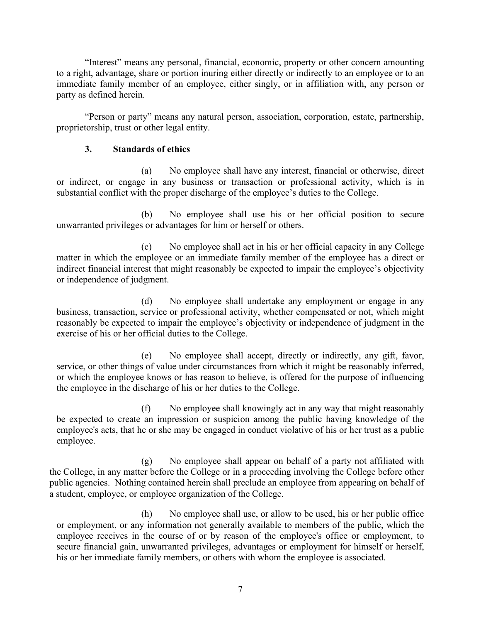"Interest" means any personal, financial, economic, property or other concern amounting to a right, advantage, share or portion inuring either directly or indirectly to an employee or to an immediate family member of an employee, either singly, or in affiliation with, any person or party as defined herein.

"Person or party" means any natural person, association, corporation, estate, partnership, proprietorship, trust or other legal entity.

## **3. Standards of ethics**

(a) No employee shall have any interest, financial or otherwise, direct or indirect, or engage in any business or transaction or professional activity, which is in substantial conflict with the proper discharge of the employee's duties to the College.

(b) No employee shall use his or her official position to secure unwarranted privileges or advantages for him or herself or others.

(c) No employee shall act in his or her official capacity in any College matter in which the employee or an immediate family member of the employee has a direct or indirect financial interest that might reasonably be expected to impair the employee's objectivity or independence of judgment.

(d) No employee shall undertake any employment or engage in any business, transaction, service or professional activity, whether compensated or not, which might reasonably be expected to impair the employee's objectivity or independence of judgment in the exercise of his or her official duties to the College.

(e) No employee shall accept, directly or indirectly, any gift, favor, service, or other things of value under circumstances from which it might be reasonably inferred, or which the employee knows or has reason to believe, is offered for the purpose of influencing the employee in the discharge of his or her duties to the College.

(f) No employee shall knowingly act in any way that might reasonably be expected to create an impression or suspicion among the public having knowledge of the employee's acts, that he or she may be engaged in conduct violative of his or her trust as a public employee.

(g) No employee shall appear on behalf of a party not affiliated with the College, in any matter before the College or in a proceeding involving the College before other public agencies. Nothing contained herein shall preclude an employee from appearing on behalf of a student, employee, or employee organization of the College.

(h) No employee shall use, or allow to be used, his or her public office or employment, or any information not generally available to members of the public, which the employee receives in the course of or by reason of the employee's office or employment, to secure financial gain, unwarranted privileges, advantages or employment for himself or herself, his or her immediate family members, or others with whom the employee is associated.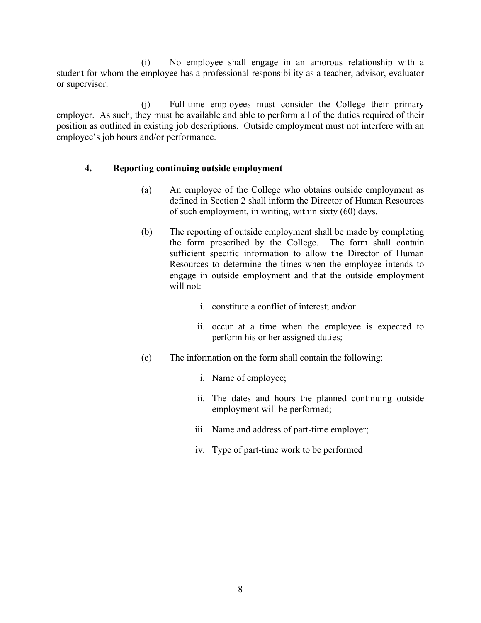(i) No employee shall engage in an amorous relationship with a student for whom the employee has a professional responsibility as a teacher, advisor, evaluator or supervisor.

(j) Full-time employees must consider the College their primary employer. As such, they must be available and able to perform all of the duties required of their position as outlined in existing job descriptions. Outside employment must not interfere with an employee's job hours and/or performance.

#### **4. Reporting continuing outside employment**

- (a) An employee of the College who obtains outside employment as defined in Section 2 shall inform the Director of Human Resources of such employment, in writing, within sixty (60) days.
- (b) The reporting of outside employment shall be made by completing the form prescribed by the College. The form shall contain sufficient specific information to allow the Director of Human Resources to determine the times when the employee intends to engage in outside employment and that the outside employment will not:
	- i. constitute a conflict of interest; and/or
	- ii. occur at a time when the employee is expected to perform his or her assigned duties;
- (c) The information on the form shall contain the following:
	- i. Name of employee;
	- ii. The dates and hours the planned continuing outside employment will be performed;
	- iii. Name and address of part-time employer;
	- iv. Type of part-time work to be performed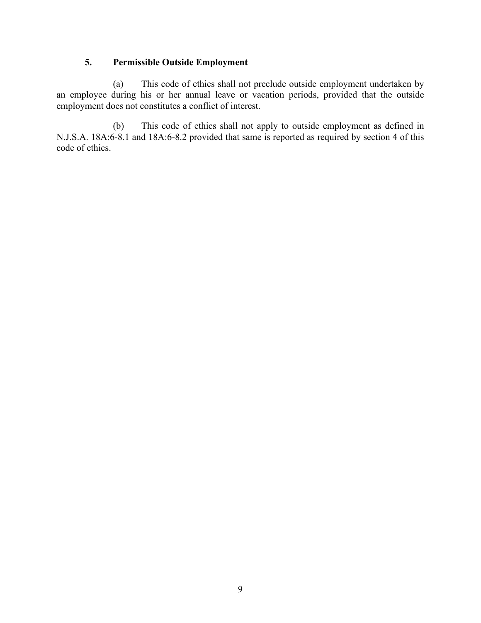# **5. Permissible Outside Employment**

(a) This code of ethics shall not preclude outside employment undertaken by an employee during his or her annual leave or vacation periods, provided that the outside employment does not constitutes a conflict of interest.

(b) This code of ethics shall not apply to outside employment as defined in N.J.S.A. 18A:6-8.1 and 18A:6-8.2 provided that same is reported as required by section 4 of this code of ethics.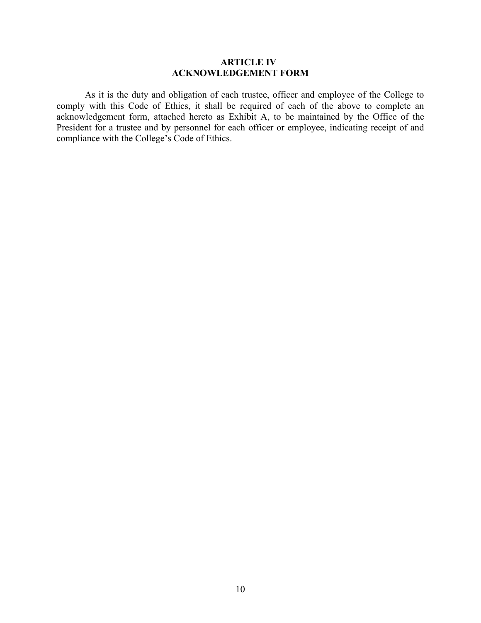#### **ARTICLE IV ACKNOWLEDGEMENT FORM**

As it is the duty and obligation of each trustee, officer and employee of the College to comply with this Code of Ethics, it shall be required of each of the above to complete an acknowledgement form, attached hereto as  $Exhibit A$ , to be maintained by the Office of the President for a trustee and by personnel for each officer or employee, indicating receipt of and compliance with the College's Code of Ethics.